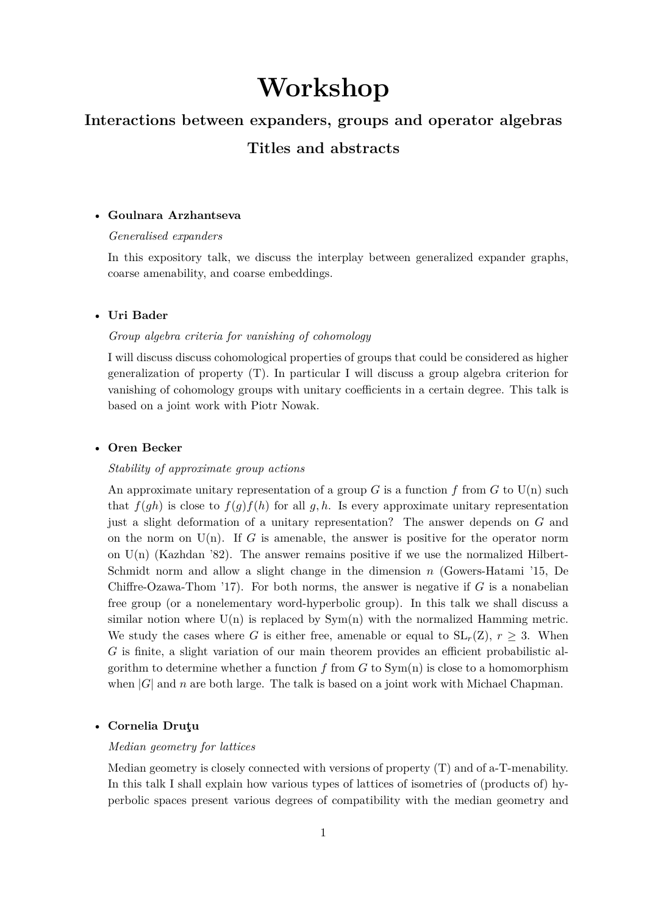# **Workshop**

# **Interactions between expanders, groups and operator algebras**

# **Titles and abstracts**

## • **Goulnara Arzhantseva**

## *Generalised expanders*

In this expository talk, we discuss the interplay between generalized expander graphs, coarse amenability, and coarse embeddings.

# • **Uri Bader**

#### *Group algebra criteria for vanishing of cohomology*

I will discuss discuss cohomological properties of groups that could be considered as higher generalization of property (T). In particular I will discuss a group algebra criterion for vanishing of cohomology groups with unitary coefficients in a certain degree. This talk is based on a joint work with Piotr Nowak.

#### • **Oren Becker**

#### *Stability of approximate group actions*

An approximate unitary representation of a group  $G$  is a function  $f$  from  $G$  to  $U(n)$  such that  $f(gh)$  is close to  $f(g)f(h)$  for all  $g, h$ . Is every approximate unitary representation just a slight deformation of a unitary representation? The answer depends on *G* and on the norm on  $U(n)$ . If *G* is amenable, the answer is positive for the operator norm on  $U(n)$  (Kazhdan '82). The answer remains positive if we use the normalized Hilbert-Schmidt norm and allow a slight change in the dimension *n* (Gowers-Hatami '15, De Chiffre-Ozawa-Thom '17). For both norms, the answer is negative if  $G$  is a nonabelian free group (or a nonelementary word-hyperbolic group). In this talk we shall discuss a similar notion where  $U(n)$  is replaced by  $Sym(n)$  with the normalized Hamming metric. We study the cases where *G* is either free, amenable or equal to  $SL_r(Z)$ ,  $r \geq 3$ . When *G* is finite, a slight variation of our main theorem provides an efficient probabilistic algorithm to determine whether a function  $f$  from  $G$  to  $Sym(n)$  is close to a homomorphism when  $|G|$  and *n* are both large. The talk is based on a joint work with Michael Chapman.

# • **Cornelia Druţu**

## *Median geometry for lattices*

Median geometry is closely connected with versions of property (T) and of a-T-menability. In this talk I shall explain how various types of lattices of isometries of (products of) hyperbolic spaces present various degrees of compatibility with the median geometry and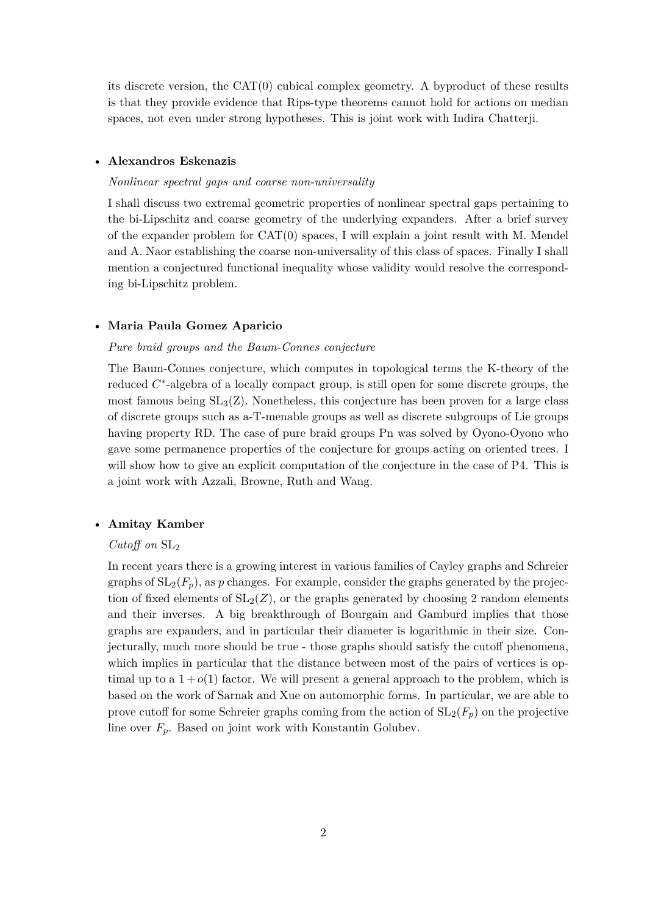its discrete version, the CAT(0) cubical complex geometry. A byproduct of these results is that they provide evidence that Rips-type theorems cannot hold for actions on median spaces, not even under strong hypotheses. This is joint work with Indira Chatterji.

## • **Alexandros Eskenazis**

#### *Nonlinear spectral gaps and coarse non-universality*

I shall discuss two extremal geometric properties of nonlinear spectral gaps pertaining to the bi-Lipschitz and coarse geometry of the underlying expanders. After a brief survey of the expander problem for CAT(0) spaces, I will explain a joint result with M. Mendel and A. Naor establishing the coarse non-universality of this class of spaces. Finally I shall mention a conjectured functional inequality whose validity would resolve the corresponding bi-Lipschitz problem.

#### • **Maria Paula Gomez Aparicio**

#### *Pure braid groups and the Baum-Connes conjecture*

The Baum-Connes conjecture, which computes in topological terms the K-theory of the reduced *C* ∗ -algebra of a locally compact group, is still open for some discrete groups, the most famous being  $SL_3(Z)$ . Nonetheless, this conjecture has been proven for a large class of discrete groups such as a-T-menable groups as well as discrete subgroups of Lie groups having property RD. The case of pure braid groups Pn was solved by Oyono-Oyono who gave some permanence properties of the conjecture for groups acting on oriented trees. I will show how to give an explicit computation of the conjecture in the case of P4. This is a joint work with Azzali, Browne, Ruth and Wang.

#### • **Amitay Kamber**

# *Cutoff on* SL<sup>2</sup>

In recent years there is a growing interest in various families of Cayley graphs and Schreier graphs of  $SL_2(F_p)$ , as p changes. For example, consider the graphs generated by the projection of fixed elements of  $SL_2(Z)$ , or the graphs generated by choosing 2 random elements and their inverses. A big breakthrough of Bourgain and Gamburd implies that those graphs are expanders, and in particular their diameter is logarithmic in their size. Conjecturally, much more should be true - those graphs should satisfy the cutoff phenomena, which implies in particular that the distance between most of the pairs of vertices is optimal up to a  $1 + o(1)$  factor. We will present a general approach to the problem, which is based on the work of Sarnak and Xue on automorphic forms. In particular, we are able to prove cutoff for some Schreier graphs coming from the action of  $SL_2(F_p)$  on the projective line over  $F_p$ . Based on joint work with Konstantin Golubev.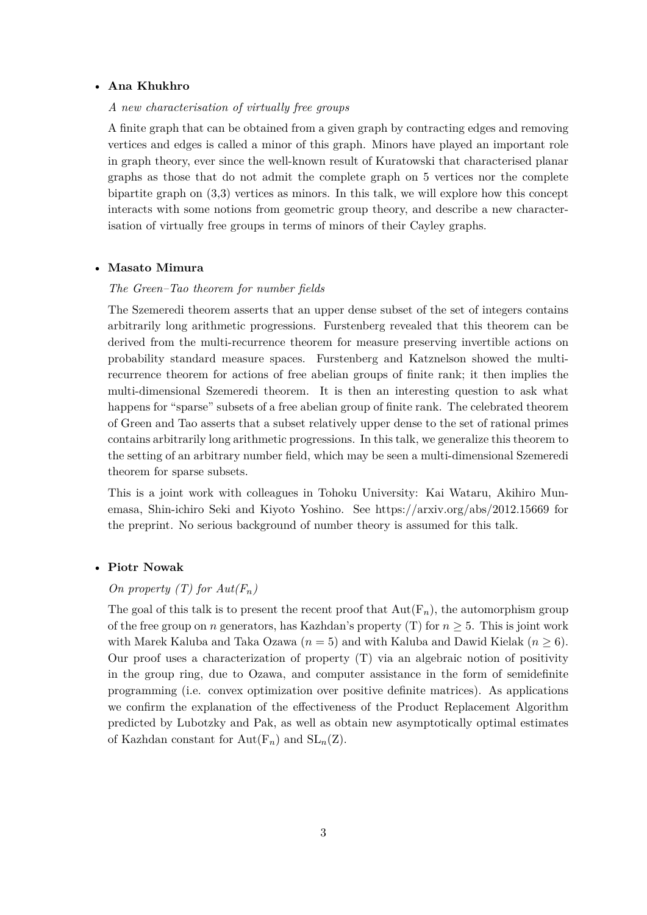## • **Ana Khukhro**

#### *A new characterisation of virtually free groups*

A finite graph that can be obtained from a given graph by contracting edges and removing vertices and edges is called a minor of this graph. Minors have played an important role in graph theory, ever since the well-known result of Kuratowski that characterised planar graphs as those that do not admit the complete graph on 5 vertices nor the complete bipartite graph on (3,3) vertices as minors. In this talk, we will explore how this concept interacts with some notions from geometric group theory, and describe a new characterisation of virtually free groups in terms of minors of their Cayley graphs.

#### • **Masato Mimura**

#### *The Green–Tao theorem for number fields*

The Szemeredi theorem asserts that an upper dense subset of the set of integers contains arbitrarily long arithmetic progressions. Furstenberg revealed that this theorem can be derived from the multi-recurrence theorem for measure preserving invertible actions on probability standard measure spaces. Furstenberg and Katznelson showed the multirecurrence theorem for actions of free abelian groups of finite rank; it then implies the multi-dimensional Szemeredi theorem. It is then an interesting question to ask what happens for "sparse" subsets of a free abelian group of finite rank. The celebrated theorem of Green and Tao asserts that a subset relatively upper dense to the set of rational primes contains arbitrarily long arithmetic progressions. In this talk, we generalize this theorem to the setting of an arbitrary number field, which may be seen a multi-dimensional Szemeredi theorem for sparse subsets.

This is a joint work with colleagues in Tohoku University: Kai Wataru, Akihiro Munemasa, Shin-ichiro Seki and Kiyoto Yoshino. See https://arxiv.org/abs/2012.15669 for the preprint. No serious background of number theory is assumed for this talk.

#### • **Piotr Nowak**

# *On property (T) for*  $Aut(F_n)$

The goal of this talk is to present the recent proof that  $Aut(F_n)$ , the automorphism group of the free group on *n* generators, has Kazhdan's property (T) for  $n \geq 5$ . This is joint work with Marek Kaluba and Taka Ozawa  $(n = 5)$  and with Kaluba and Dawid Kielak  $(n \geq 6)$ . Our proof uses a characterization of property (T) via an algebraic notion of positivity in the group ring, due to Ozawa, and computer assistance in the form of semidefinite programming (i.e. convex optimization over positive definite matrices). As applications we confirm the explanation of the effectiveness of the Product Replacement Algorithm predicted by Lubotzky and Pak, as well as obtain new asymptotically optimal estimates of Kazhdan constant for  $Aut(F_n)$  and  $SL_n(Z)$ .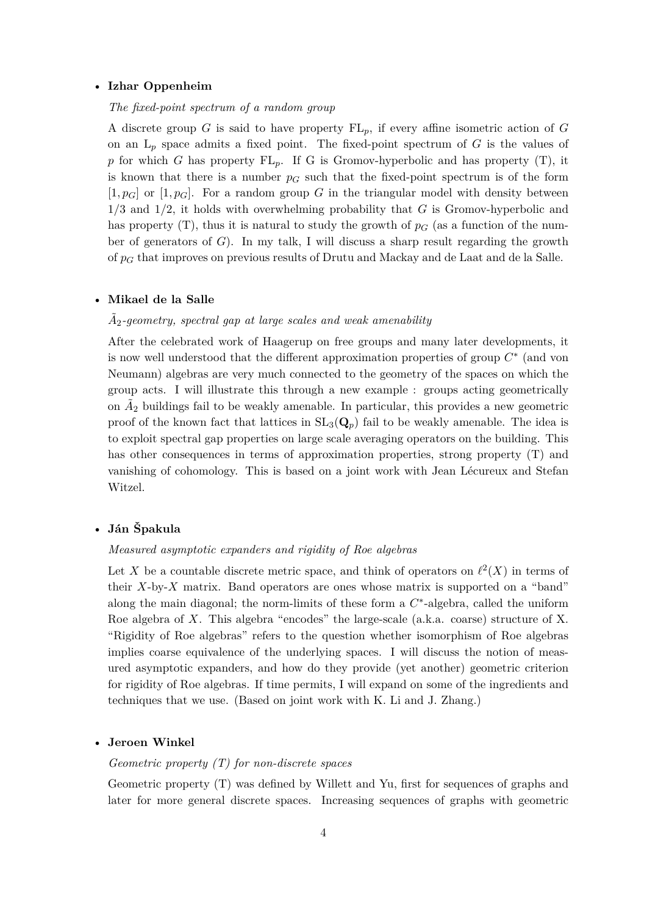#### • **Izhar Oppenheim**

# *The fixed-point spectrum of a random group*

A discrete group *G* is said to have property FL*p*, if every affine isometric action of *G* on an  $L_p$  space admits a fixed point. The fixed-point spectrum of  $G$  is the values of p for which *G* has property  $FL_p$ . If *G* is Gromov-hyperbolic and has property (T), it is known that there is a number  $p_G$  such that the fixed-point spectrum is of the form  $[1, p_G]$  or  $[1, p_G]$ . For a random group G in the triangular model with density between 1*/*3 and 1*/*2, it holds with overwhelming probability that *G* is Gromov-hyperbolic and has property  $(T)$ , thus it is natural to study the growth of  $p<sub>G</sub>$  (as a function of the number of generators of *G*). In my talk, I will discuss a sharp result regarding the growth of *p<sup>G</sup>* that improves on previous results of Drutu and Mackay and de Laat and de la Salle.

#### • **Mikael de la Salle**

# $\tilde{A}_2$ -geometry, spectral gap at large scales and weak amenability

After the celebrated work of Haagerup on free groups and many later developments, it is now well understood that the different approximation properties of group *C* ∗ (and von Neumann) algebras are very much connected to the geometry of the spaces on which the group acts. I will illustrate this through a new example : groups acting geometrically on  $\tilde{A}_2$  buildings fail to be weakly amenable. In particular, this provides a new geometric proof of the known fact that lattices in  $SL_3(Q_p)$  fail to be weakly amenable. The idea is to exploit spectral gap properties on large scale averaging operators on the building. This has other consequences in terms of approximation properties, strong property (T) and vanishing of cohomology. This is based on a joint work with Jean Lécureux and Stefan Witzel.

# • **Ján Špakula**

#### *Measured asymptotic expanders and rigidity of Roe algebras*

Let X be a countable discrete metric space, and think of operators on  $\ell^2(X)$  in terms of their *X*-by-*X* matrix. Band operators are ones whose matrix is supported on a "band" along the main diagonal; the norm-limits of these form a  $C^*$ -algebra, called the uniform Roe algebra of *X*. This algebra "encodes" the large-scale (a.k.a. coarse) structure of X. "Rigidity of Roe algebras" refers to the question whether isomorphism of Roe algebras implies coarse equivalence of the underlying spaces. I will discuss the notion of measured asymptotic expanders, and how do they provide (yet another) geometric criterion for rigidity of Roe algebras. If time permits, I will expand on some of the ingredients and techniques that we use. (Based on joint work with K. Li and J. Zhang.)

#### • **Jeroen Winkel**

# *Geometric property (T) for non-discrete spaces*

Geometric property (T) was defined by Willett and Yu, first for sequences of graphs and later for more general discrete spaces. Increasing sequences of graphs with geometric